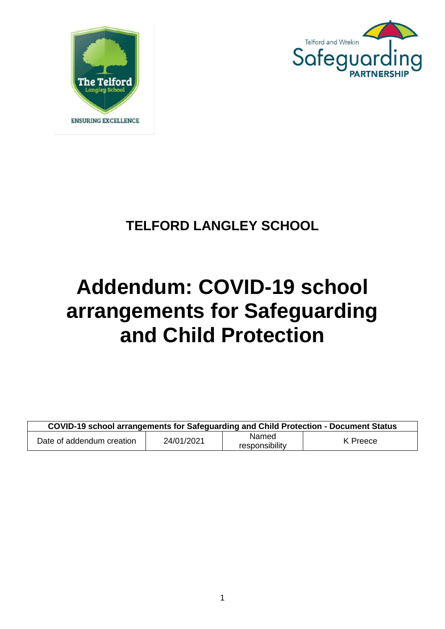



# **TELFORD LANGLEY SCHOOL**

# **Addendum: COVID-19 school arrangements for Safeguarding and Child Protection**

| COVID-19 school arrangements for Safeguarding and Child Protection - Document Status |            |                         |          |  |  |
|--------------------------------------------------------------------------------------|------------|-------------------------|----------|--|--|
| Date of addendum creation                                                            | 24/01/2021 | Named<br>responsibility | K Preece |  |  |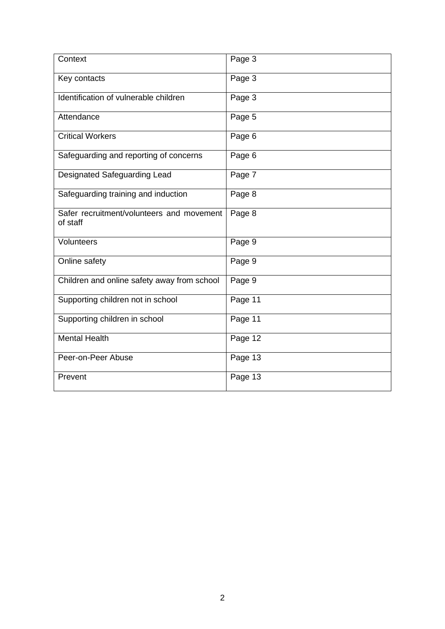| Context                                               | Page 3  |
|-------------------------------------------------------|---------|
| Key contacts                                          | Page 3  |
| Identification of vulnerable children                 | Page 3  |
| Attendance                                            | Page 5  |
| <b>Critical Workers</b>                               | Page 6  |
| Safeguarding and reporting of concerns                | Page 6  |
| Designated Safeguarding Lead                          | Page 7  |
| Safeguarding training and induction                   | Page 8  |
| Safer recruitment/volunteers and movement<br>of staff | Page 8  |
| Volunteers                                            | Page 9  |
| Online safety                                         | Page 9  |
| Children and online safety away from school           | Page 9  |
| Supporting children not in school                     | Page 11 |
| Supporting children in school                         | Page 11 |
| <b>Mental Health</b>                                  | Page 12 |
| Peer-on-Peer Abuse                                    | Page 13 |
| Prevent                                               | Page 13 |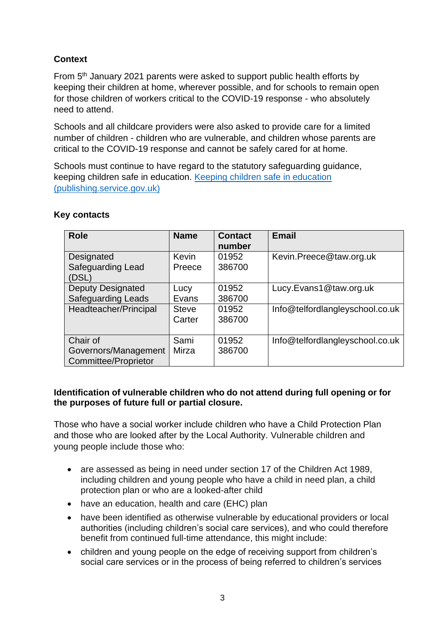# **Context**

From 5<sup>th</sup> January 2021 parents were asked to support public health efforts by keeping their children at home, wherever possible, and for schools to remain open for those children of workers critical to the COVID-19 response - who absolutely need to attend.

Schools and all childcare providers were also asked to provide care for a limited number of children - children who are vulnerable, and children whose parents are critical to the COVID-19 response and cannot be safely cared for at home.

Schools must continue to have regard to the statutory safeguarding guidance, keeping children safe in education. [Keeping children safe in education](https://assets.publishing.service.gov.uk/government/uploads/system/uploads/attachment_data/file/912592/Keeping_children_safe_in_education_Sep_2020.pdf)  [\(publishing.service.gov.uk\)](https://assets.publishing.service.gov.uk/government/uploads/system/uploads/attachment_data/file/912592/Keeping_children_safe_in_education_Sep_2020.pdf)

| <b>Role</b>                                                     | <b>Name</b>            | <b>Contact</b><br>number | <b>Email</b>                    |
|-----------------------------------------------------------------|------------------------|--------------------------|---------------------------------|
| Designated<br><b>Safeguarding Lead</b><br>(DSL)                 | Kevin<br>Preece        | 01952<br>386700          | Kevin.Preece@taw.org.uk         |
| <b>Deputy Designated</b><br><b>Safeguarding Leads</b>           | Lucy<br>Evans          | 01952<br>386700          | Lucy.Evans1@taw.org.uk          |
| Headteacher/Principal                                           | <b>Steve</b><br>Carter | 01952<br>386700          | Info@telfordlangleyschool.co.uk |
| Chair of<br>Governors/Management<br><b>Committee/Proprietor</b> | Sami<br>Mirza          | 01952<br>386700          | Info@telfordlangleyschool.co.uk |

# **Key contacts**

## **Identification of vulnerable children who do not attend during full opening or for the purposes of future full or partial closure.**

Those who have a social worker include children who have a Child Protection Plan and those who are looked after by the Local Authority. Vulnerable children and young people include those who:

- are assessed as being in need under section 17 of the Children Act 1989, including children and young people who have a child in need plan, a child protection plan or who are a looked-after child
- have an education, health and care (EHC) plan
- have been identified as otherwise vulnerable by educational providers or local authorities (including children's social care services), and who could therefore benefit from continued full-time attendance, this might include:
- children and young people on the edge of receiving support from children's social care services or in the process of being referred to children's services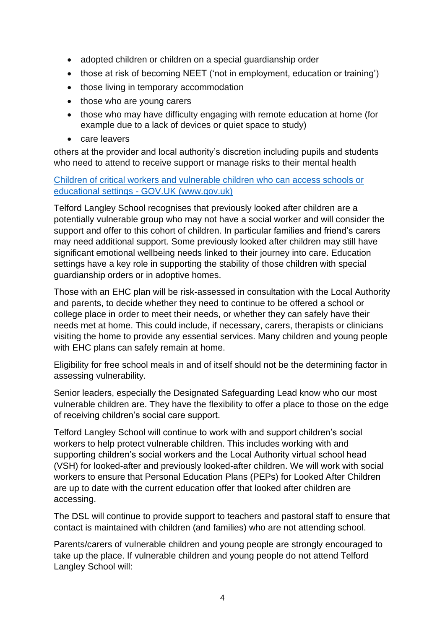- adopted children or children on a special guardianship order
- those at risk of becoming NEET ('not in employment, education or training')
- those living in temporary accommodation
- those who are young carers
- those who may have difficulty engaging with remote education at home (for example due to a lack of devices or quiet space to study)
- care leavers

others at the provider and local authority's discretion including pupils and students who need to attend to receive support or manage risks to their mental health

Children of critical workers and vulnerable children who can access schools or educational settings - GOV.UK (www.gov.uk)

Telford Langley School recognises that previously looked after children are a potentially vulnerable group who may not have a social worker and will consider the support and offer to this cohort of children. In particular families and friend's carers may need additional support. Some previously looked after children may still have significant emotional wellbeing needs linked to their journey into care. Education settings have a key role in supporting the stability of those children with special guardianship orders or in adoptive homes.

Those with an EHC plan will be risk-assessed in consultation with the Local Authority and parents, to decide whether they need to continue to be offered a school or college place in order to meet their needs, or whether they can safely have their needs met at home. This could include, if necessary, carers, therapists or clinicians visiting the home to provide any essential services. Many children and young people with EHC plans can safely remain at home.

Eligibility for free school meals in and of itself should not be the determining factor in assessing vulnerability.

Senior leaders, especially the Designated Safeguarding Lead know who our most vulnerable children are. They have the flexibility to offer a place to those on the edge of receiving children's social care support.

Telford Langley School will continue to work with and support children's social workers to help protect vulnerable children. This includes working with and supporting children's social workers and the Local Authority virtual school head (VSH) for looked-after and previously looked-after children. We will work with social workers to ensure that Personal Education Plans (PEPs) for Looked After Children are up to date with the current education offer that looked after children are accessing.

The DSL will continue to provide support to teachers and pastoral staff to ensure that contact is maintained with children (and families) who are not attending school.

Parents/carers of vulnerable children and young people are strongly encouraged to take up the place. If vulnerable children and young people do not attend Telford Langley School will: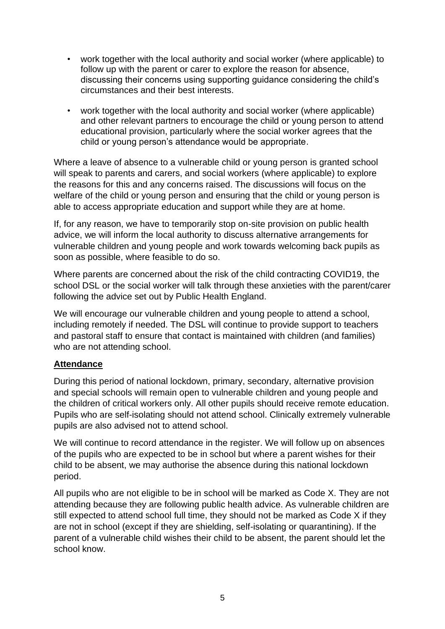- work together with the local authority and social worker (where applicable) to follow up with the parent or carer to explore the reason for absence, discussing their concerns using supporting guidance considering the child's circumstances and their best interests.
- work together with the local authority and social worker (where applicable) and other relevant partners to encourage the child or young person to attend educational provision, particularly where the social worker agrees that the child or young person's attendance would be appropriate.

Where a leave of absence to a vulnerable child or young person is granted school will speak to parents and carers, and social workers (where applicable) to explore the reasons for this and any concerns raised. The discussions will focus on the welfare of the child or young person and ensuring that the child or young person is able to access appropriate education and support while they are at home.

If, for any reason, we have to temporarily stop on-site provision on public health advice, we will inform the local authority to discuss alternative arrangements for vulnerable children and young people and work towards welcoming back pupils as soon as possible, where feasible to do so.

Where parents are concerned about the risk of the child contracting COVID19, the school DSL or the social worker will talk through these anxieties with the parent/carer following the advice set out by Public Health England.

We will encourage our vulnerable children and young people to attend a school, including remotely if needed. The DSL will continue to provide support to teachers and pastoral staff to ensure that contact is maintained with children (and families) who are not attending school.

# **Attendance**

During this period of national lockdown, primary, secondary, alternative provision and special schools will remain open to vulnerable children and young people and the children of critical workers only. All other pupils should receive remote education. Pupils who are self-isolating should not attend school. Clinically extremely vulnerable pupils are also advised not to attend school.

We will continue to record attendance in the register. We will follow up on absences of the pupils who are expected to be in school but where a parent wishes for their child to be absent, we may authorise the absence during this national lockdown period.

All pupils who are not eligible to be in school will be marked as Code X. They are not attending because they are following public health advice. As vulnerable children are still expected to attend school full time, they should not be marked as Code X if they are not in school (except if they are shielding, self-isolating or quarantining). If the parent of a vulnerable child wishes their child to be absent, the parent should let the school know.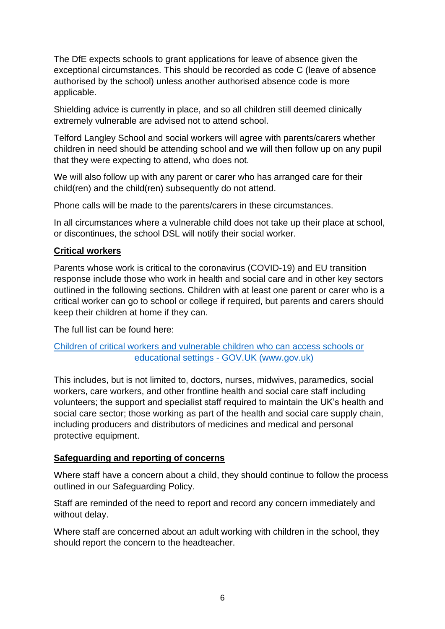The DfE expects schools to grant applications for leave of absence given the exceptional circumstances. This should be recorded as code C (leave of absence authorised by the school) unless another authorised absence code is more applicable.

Shielding advice is currently in place, and so all children still deemed clinically extremely vulnerable are advised not to attend school.

Telford Langley School and social workers will agree with parents/carers whether children in need should be attending school and we will then follow up on any pupil that they were expecting to attend, who does not.

We will also follow up with any parent or carer who has arranged care for their child(ren) and the child(ren) subsequently do not attend.

Phone calls will be made to the parents/carers in these circumstances.

In all circumstances where a vulnerable child does not take up their place at school, or discontinues, the school DSL will notify their social worker.

# **Critical workers**

Parents whose work is critical to the coronavirus (COVID-19) and EU transition response include those who work in health and social care and in other key sectors outlined in the following sections. Children with at least one parent or carer who is a critical worker can go to school or college if required, but parents and carers should keep their children at home if they can.

The full list can be found here:

# [Children of critical workers and vulnerable children who can access schools or](https://www.gov.uk/government/publications/coronavirus-covid-19-maintaining-educational-provision/guidance-for-schools-colleges-and-local-authorities-on-maintaining-educational-provision)  educational settings - [GOV.UK \(www.gov.uk\)](https://www.gov.uk/government/publications/coronavirus-covid-19-maintaining-educational-provision/guidance-for-schools-colleges-and-local-authorities-on-maintaining-educational-provision)

This includes, but is not limited to, doctors, nurses, midwives, paramedics, social workers, care workers, and other frontline health and social care staff including volunteers; the support and specialist staff required to maintain the UK's health and social care sector; those working as part of the health and social care supply chain, including producers and distributors of medicines and medical and personal protective equipment.

# **Safeguarding and reporting of concerns**

Where staff have a concern about a child, they should continue to follow the process outlined in our Safeguarding Policy.

Staff are reminded of the need to report and record any concern immediately and without delay.

Where staff are concerned about an adult working with children in the school, they should report the concern to the headteacher.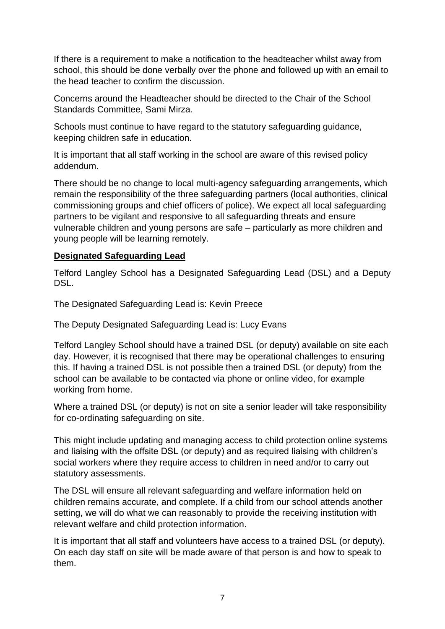If there is a requirement to make a notification to the headteacher whilst away from school, this should be done verbally over the phone and followed up with an email to the head teacher to confirm the discussion.

Concerns around the Headteacher should be directed to the Chair of the School Standards Committee, Sami Mirza.

Schools must continue to have regard to the statutory safeguarding guidance, keeping children safe in education.

It is important that all staff working in the school are aware of this revised policy addendum.

There should be no change to local multi-agency safeguarding arrangements, which remain the responsibility of the three safeguarding partners (local authorities, clinical commissioning groups and chief officers of police). We expect all local safeguarding partners to be vigilant and responsive to all safeguarding threats and ensure vulnerable children and young persons are safe – particularly as more children and young people will be learning remotely.

## **Designated Safeguarding Lead**

Telford Langley School has a Designated Safeguarding Lead (DSL) and a Deputy DSL.

The Designated Safeguarding Lead is: Kevin Preece

The Deputy Designated Safeguarding Lead is: Lucy Evans

Telford Langley School should have a trained DSL (or deputy) available on site each day. However, it is recognised that there may be operational challenges to ensuring this. If having a trained DSL is not possible then a trained DSL (or deputy) from the school can be available to be contacted via phone or online video, for example working from home.

Where a trained DSL (or deputy) is not on site a senior leader will take responsibility for co-ordinating safeguarding on site.

This might include updating and managing access to child protection online systems and liaising with the offsite DSL (or deputy) and as required liaising with children's social workers where they require access to children in need and/or to carry out statutory assessments.

The DSL will ensure all relevant safeguarding and welfare information held on children remains accurate, and complete. If a child from our school attends another setting, we will do what we can reasonably to provide the receiving institution with relevant welfare and child protection information.

It is important that all staff and volunteers have access to a trained DSL (or deputy). On each day staff on site will be made aware of that person is and how to speak to them.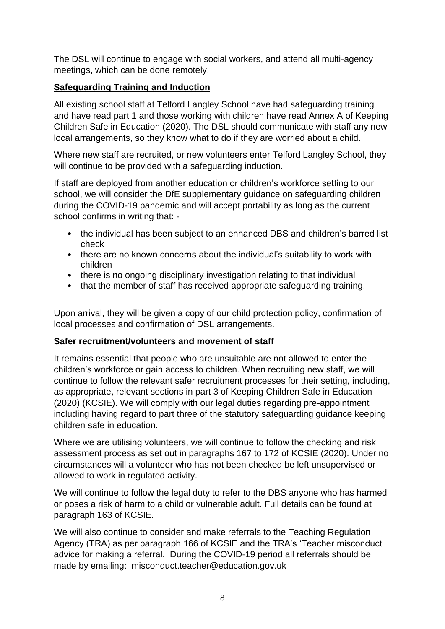The DSL will continue to engage with social workers, and attend all multi-agency meetings, which can be done remotely.

# **Safeguarding Training and Induction**

All existing school staff at Telford Langley School have had safeguarding training and have read part 1 and those working with children have read Annex A of Keeping Children Safe in Education (2020). The DSL should communicate with staff any new local arrangements, so they know what to do if they are worried about a child.

Where new staff are recruited, or new volunteers enter Telford Langley School, they will continue to be provided with a safeguarding induction.

If staff are deployed from another education or children's workforce setting to our school, we will consider the DfE supplementary guidance on safeguarding children during the COVID-19 pandemic and will accept portability as long as the current school confirms in writing that: -

- the individual has been subject to an enhanced DBS and children's barred list check
- there are no known concerns about the individual's suitability to work with children
- there is no ongoing disciplinary investigation relating to that individual
- that the member of staff has received appropriate safeguarding training.

Upon arrival, they will be given a copy of our child protection policy, confirmation of local processes and confirmation of DSL arrangements.

# **Safer recruitment/volunteers and movement of staff**

It remains essential that people who are unsuitable are not allowed to enter the children's workforce or gain access to children. When recruiting new staff, we will continue to follow the relevant safer recruitment processes for their setting, including, as appropriate, relevant sections in part 3 of Keeping Children Safe in Education (2020) (KCSIE). We will comply with our legal duties regarding pre-appointment including having regard to part three of the statutory safeguarding guidance keeping children safe in education.

Where we are utilising volunteers, we will continue to follow the checking and risk assessment process as set out in paragraphs 167 to 172 of KCSIE (2020). Under no circumstances will a volunteer who has not been checked be left unsupervised or allowed to work in regulated activity.

We will continue to follow the legal duty to refer to the DBS anyone who has harmed or poses a risk of harm to a child or vulnerable adult. Full details can be found at paragraph 163 of KCSIE.

We will also continue to consider and make referrals to the Teaching Regulation Agency (TRA) as per paragraph 166 of KCSIE and the TRA's 'Teacher misconduct advice for making a referral. During the COVID-19 period all referrals should be made by emailing: misconduct.teacher@education.gov.uk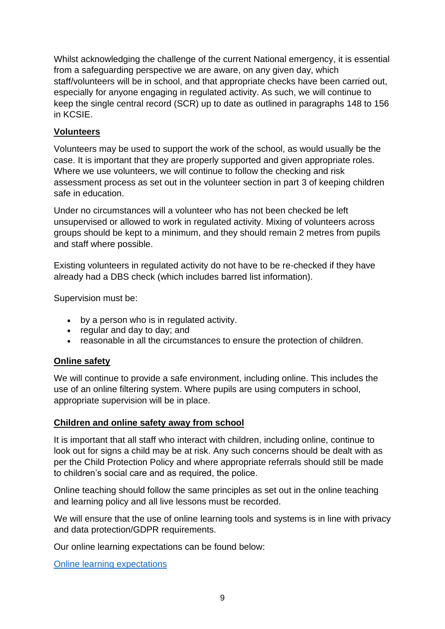Whilst acknowledging the challenge of the current National emergency, it is essential from a safeguarding perspective we are aware, on any given day, which staff/volunteers will be in school, and that appropriate checks have been carried out, especially for anyone engaging in regulated activity. As such, we will continue to keep the single central record (SCR) up to date as outlined in paragraphs 148 to 156 in KCSIE.

# **Volunteers**

Volunteers may be used to support the work of the school, as would usually be the case. It is important that they are properly supported and given appropriate roles. Where we use volunteers, we will continue to follow the checking and risk assessment process as set out in the volunteer section in part 3 of keeping children safe in education.

Under no circumstances will a volunteer who has not been checked be left unsupervised or allowed to work in regulated activity. Mixing of volunteers across groups should be kept to a minimum, and they should remain 2 metres from pupils and staff where possible.

Existing volunteers in regulated activity do not have to be re-checked if they have already had a DBS check (which includes barred list information).

Supervision must be:

- by a person who is in regulated activity.
- regular and day to day; and
- reasonable in all the circumstances to ensure the protection of children.

#### **Online safety**

We will continue to provide a safe environment, including online. This includes the use of an online filtering system. Where pupils are using computers in school, appropriate supervision will be in place.

#### **Children and online safety away from school**

It is important that all staff who interact with children, including online, continue to look out for signs a child may be at risk. Any such concerns should be dealt with as per the Child Protection Policy and where appropriate referrals should still be made to children's social care and as required, the police.

Online teaching should follow the same principles as set out in the online teaching and learning policy and all live lessons must be recorded.

We will ensure that the use of online learning tools and systems is in line with privacy and data protection/GDPR requirements.

Our online learning expectations can be found below:

[Online learning expectations](http://www.telfordlangleyschool.co.uk/assets/20202021updates/onlinelearningexpectationsnov2020.pdf)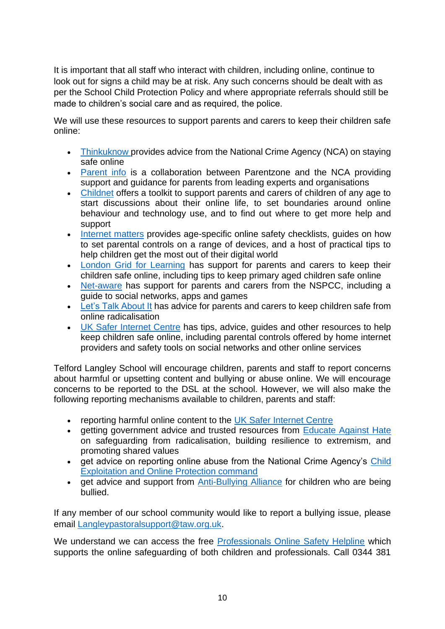It is important that all staff who interact with children, including online, continue to look out for signs a child may be at risk. Any such concerns should be dealt with as per the School Child Protection Policy and where appropriate referrals should still be made to children's social care and as required, the police.

We will use these resources to support parents and carers to keep their children safe online:

- [Thinkuknow](https://www.thinkuknow.co.uk/) provides advice from the National Crime Agency (NCA) on staying safe online
- [Parent info](https://parentinfo.org/) is a collaboration between Parentzone and the NCA providing support and guidance for parents from leading experts and organisations
- [Childnet](https://www.childnet.com/parents-and-carers/parent-and-carer-toolkit) offers a toolkit to support parents and carers of children of any age to start discussions about their online life, to set boundaries around online behaviour and technology use, and to find out where to get more help and support
- [Internet matters](https://www.internetmatters.org/?gclid=EAIaIQobChMIktuA5LWK2wIVRYXVCh2afg2aEAAYASAAEgIJ5vD_BwE) provides age-specific online safety checklists, quides on how to set parental controls on a range of devices, and a host of practical tips to help children get the most out of their digital world
- [London Grid for Learning](https://www.lgfl.net/online-safety/) has support for parents and carers to keep their children safe online, including tips to keep primary aged children safe online
- [Net-aware](https://www.net-aware.org.uk/) has support for parents and carers from the NSPCC, including a guide to social networks, apps and games
- [Let's Talk About It](https://www.ltai.info/staying-safe-online/) has advice for parents and carers to keep children safe from online radicalisation
- [UK Safer Internet Centre](https://www.saferinternet.org.uk/advice-centre/parents-and-carers) has tips, advice, guides and other resources to help keep children safe online, including parental controls offered by home internet providers and safety tools on social networks and other online services

Telford Langley School will encourage children, parents and staff to report concerns about harmful or upsetting content and bullying or abuse online. We will encourage concerns to be reported to the DSL at the school. However, we will also make the following reporting mechanisms available to children, parents and staff:

- reporting harmful online content to the [UK Safer Internet Centre](https://reportharmfulcontent.com/)
- getting government advice and trusted resources from [Educate Against Hate](https://educateagainsthate.com/) on safeguarding from radicalisation, building resilience to extremism, and promoting shared values
- get advice on reporting online abuse from the National Crime Agency's Child [Exploitation and Online Protection command](https://www.ceop.police.uk/safety-centre/)
- get advice and support from [Anti-Bullying Alliance](https://www.anti-bullyingalliance.org.uk/tools-information/if-youre-being-bullied) for children who are being bullied.

If any member of our school community would like to report a bullying issue, please email [Langleypastoralsupport@taw.org.uk.](mailto:Langleypastoralsupport@taw.org.uk)

We understand we can access the free [Professionals Online Safety Helpline](https://swgfl.org.uk/services/professionals-online-safety-helpline/#contact) which supports the online safeguarding of both children and professionals. Call 0344 381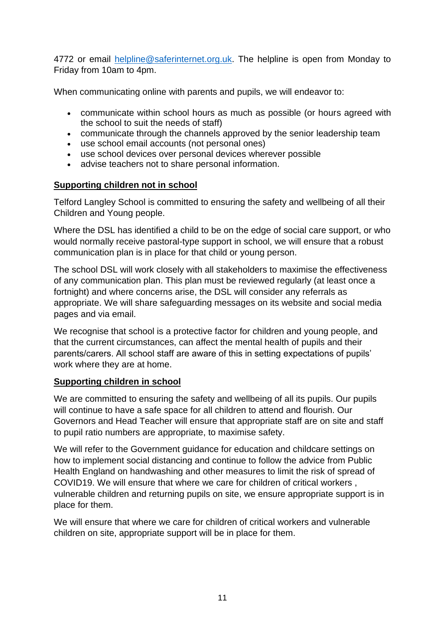4772 or email [helpline@saferinternet.org.uk.](mailto:helpline@saferinternet.org.uk) The helpline is open from Monday to Friday from 10am to 4pm.

When communicating online with parents and pupils, we will endeavor to:

- communicate within school hours as much as possible (or hours agreed with the school to suit the needs of staff)
- communicate through the channels approved by the senior leadership team
- use school email accounts (not personal ones)
- use school devices over personal devices wherever possible
- advise teachers not to share personal information.

# **Supporting children not in school**

Telford Langley School is committed to ensuring the safety and wellbeing of all their Children and Young people.

Where the DSL has identified a child to be on the edge of social care support, or who would normally receive pastoral-type support in school, we will ensure that a robust communication plan is in place for that child or young person.

The school DSL will work closely with all stakeholders to maximise the effectiveness of any communication plan. This plan must be reviewed regularly (at least once a fortnight) and where concerns arise, the DSL will consider any referrals as appropriate. We will share safeguarding messages on its website and social media pages and via email.

We recognise that school is a protective factor for children and young people, and that the current circumstances, can affect the mental health of pupils and their parents/carers. All school staff are aware of this in setting expectations of pupils' work where they are at home.

# **Supporting children in school**

We are committed to ensuring the safety and wellbeing of all its pupils. Our pupils will continue to have a safe space for all children to attend and flourish. Our Governors and Head Teacher will ensure that appropriate staff are on site and staff to pupil ratio numbers are appropriate, to maximise safety.

We will refer to the Government guidance for education and childcare settings on how to implement social distancing and continue to follow the advice from Public Health England on handwashing and other measures to limit the risk of spread of COVID19. We will ensure that where we care for children of critical workers , vulnerable children and returning pupils on site, we ensure appropriate support is in place for them.

We will ensure that where we care for children of critical workers and vulnerable children on site, appropriate support will be in place for them.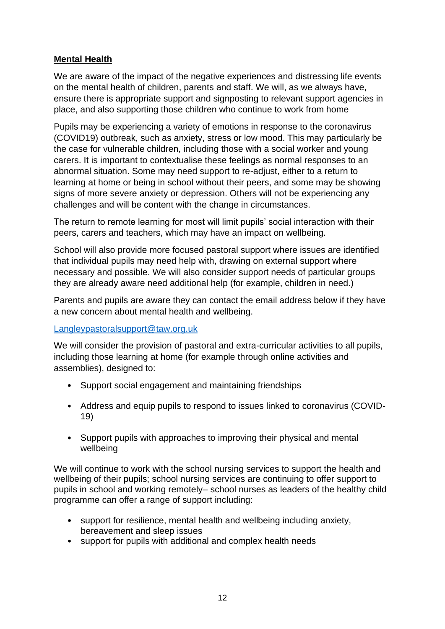# **Mental Health**

We are aware of the impact of the negative experiences and distressing life events on the mental health of children, parents and staff. We will, as we always have, ensure there is appropriate support and signposting to relevant support agencies in place, and also supporting those children who continue to work from home

Pupils may be experiencing a variety of emotions in response to the coronavirus (COVID19) outbreak, such as anxiety, stress or low mood. This may particularly be the case for vulnerable children, including those with a social worker and young carers. It is important to contextualise these feelings as normal responses to an abnormal situation. Some may need support to re-adjust, either to a return to learning at home or being in school without their peers, and some may be showing signs of more severe anxiety or depression. Others will not be experiencing any challenges and will be content with the change in circumstances.

The return to remote learning for most will limit pupils' social interaction with their peers, carers and teachers, which may have an impact on wellbeing.

School will also provide more focused pastoral support where issues are identified that individual pupils may need help with, drawing on external support where necessary and possible. We will also consider support needs of particular groups they are already aware need additional help (for example, children in need.)

Parents and pupils are aware they can contact the email address below if they have a new concern about mental health and wellbeing.

[Langleypastoralsupport@taw.org.uk](mailto:Langleypastoralsupport@taw.org.uk) 

We will consider the provision of pastoral and extra-curricular activities to all pupils, including those learning at home (for example through online activities and assemblies), designed to:

- Support social engagement and maintaining friendships
- Address and equip pupils to respond to issues linked to coronavirus (COVID-19)
- Support pupils with approaches to improving their physical and mental wellbeing

We will continue to work with the school nursing services to support the health and wellbeing of their pupils; school nursing services are continuing to offer support to pupils in school and working remotely– school nurses as leaders of the healthy child programme can offer a range of support including:

- support for resilience, mental health and wellbeing including anxiety, bereavement and sleep issues
- support for pupils with additional and complex health needs